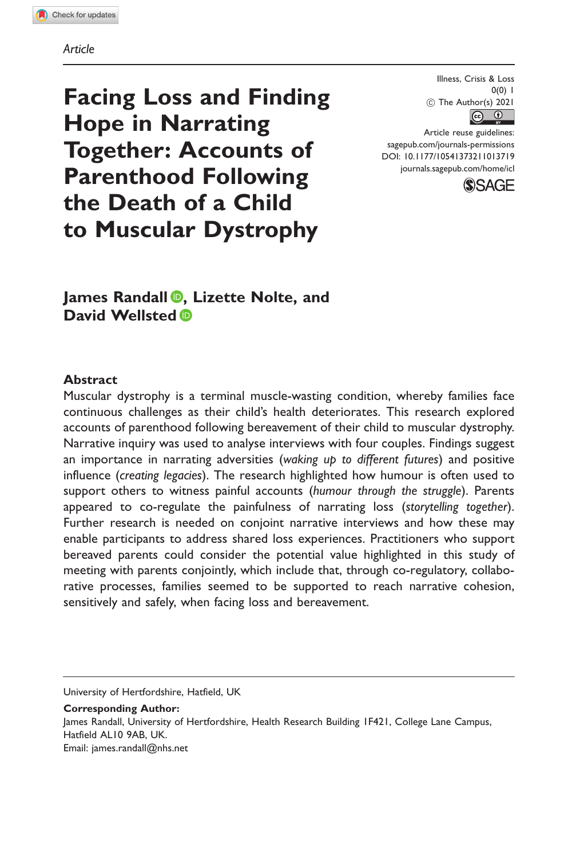Article

Facing Loss and Finding Hope in Narrating Together: Accounts of Parenthood Following the Death of a Child to Muscular Dystrophy

Illness, Crisis & Loss  $0(0)$  1  $\circled{c}$  The Author(s) 2021  $\boxed{6}$ 

Article reuse guidelines: [sagepub.com/journals-permissions](http://us.sagepub.com/en-us/journals-permissions) [DOI: 10.1177/10541373211013719](http://dx.doi.org/10.1177/10541373211013719) <journals.sagepub.com/home/icl>



James Randall **D**, Lizette Nolte, and David Wellsted<sup>®</sup>

### **Abstract**

Muscular dystrophy is a terminal muscle-wasting condition, whereby families face continuous challenges as their child's health deteriorates. This research explored accounts of parenthood following bereavement of their child to muscular dystrophy. Narrative inquiry was used to analyse interviews with four couples. Findings suggest an importance in narrating adversities (waking up to different futures) and positive influence (creating legacies). The research highlighted how humour is often used to support others to witness painful accounts (humour through the struggle). Parents appeared to co-regulate the painfulness of narrating loss (storytelling together). Further research is needed on conjoint narrative interviews and how these may enable participants to address shared loss experiences. Practitioners who support bereaved parents could consider the potential value highlighted in this study of meeting with parents conjointly, which include that, through co-regulatory, collaborative processes, families seemed to be supported to reach narrative cohesion, sensitively and safely, when facing loss and bereavement.

University of Hertfordshire, Hatfield, UK

Corresponding Author: James Randall, University of Hertfordshire, Health Research Building 1F421, College Lane Campus, Hatfield AL10 9AB, UK. Email: [james.randall@nhs.net](mailto:james.randall@nhs.net)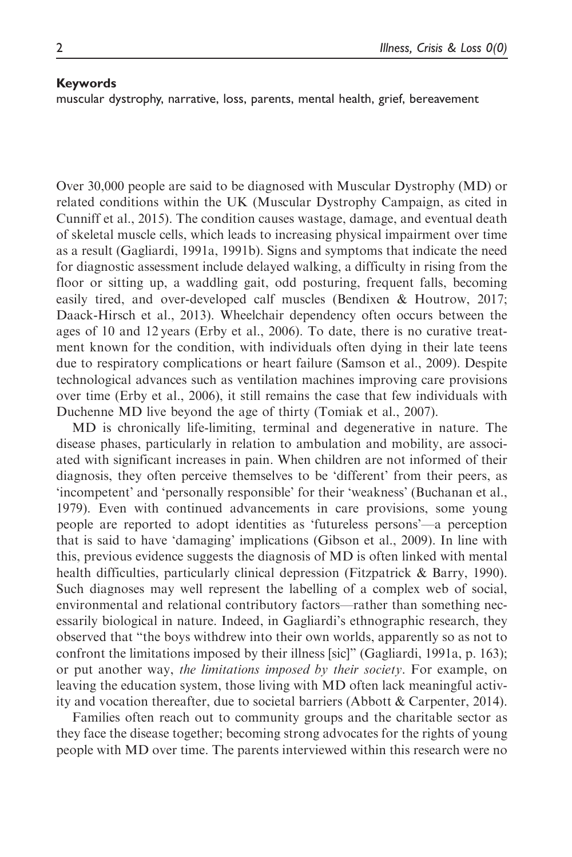#### Keywords

muscular dystrophy, narrative, loss, parents, mental health, grief, bereavement

Over 30,000 people are said to be diagnosed with Muscular Dystrophy (MD) or related conditions within the UK (Muscular Dystrophy Campaign, as cited in Cunniff et al., 2015). The condition causes wastage, damage, and eventual death of skeletal muscle cells, which leads to increasing physical impairment over time as a result (Gagliardi, 1991a, 1991b). Signs and symptoms that indicate the need for diagnostic assessment include delayed walking, a difficulty in rising from the floor or sitting up, a waddling gait, odd posturing, frequent falls, becoming easily tired, and over-developed calf muscles (Bendixen & Houtrow, 2017; Daack-Hirsch et al., 2013). Wheelchair dependency often occurs between the ages of 10 and 12 years (Erby et al., 2006). To date, there is no curative treatment known for the condition, with individuals often dying in their late teens due to respiratory complications or heart failure (Samson et al., 2009). Despite technological advances such as ventilation machines improving care provisions over time (Erby et al., 2006), it still remains the case that few individuals with Duchenne MD live beyond the age of thirty (Tomiak et al., 2007).

MD is chronically life-limiting, terminal and degenerative in nature. The disease phases, particularly in relation to ambulation and mobility, are associated with significant increases in pain. When children are not informed of their diagnosis, they often perceive themselves to be 'different' from their peers, as 'incompetent' and 'personally responsible' for their 'weakness' (Buchanan et al., 1979). Even with continued advancements in care provisions, some young people are reported to adopt identities as 'futureless persons'—a perception that is said to have 'damaging' implications (Gibson et al., 2009). In line with this, previous evidence suggests the diagnosis of MD is often linked with mental health difficulties, particularly clinical depression (Fitzpatrick & Barry, 1990). Such diagnoses may well represent the labelling of a complex web of social, environmental and relational contributory factors—rather than something necessarily biological in nature. Indeed, in Gagliardi's ethnographic research, they observed that "the boys withdrew into their own worlds, apparently so as not to confront the limitations imposed by their illness [sic]" (Gagliardi, 1991a, p. 163); or put another way, the limitations imposed by their society. For example, on leaving the education system, those living with MD often lack meaningful activity and vocation thereafter, due to societal barriers (Abbott & Carpenter, 2014).

Families often reach out to community groups and the charitable sector as they face the disease together; becoming strong advocates for the rights of young people with MD over time. The parents interviewed within this research were no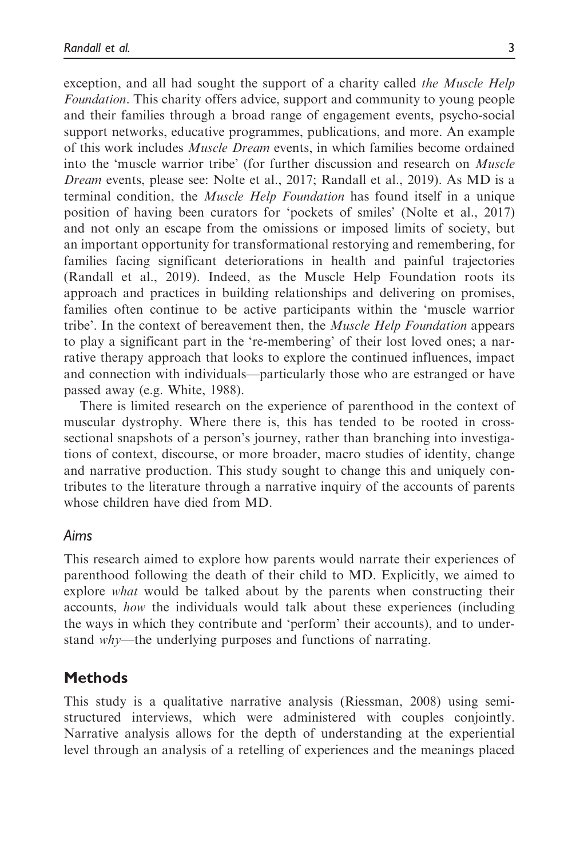exception, and all had sought the support of a charity called the Muscle Help Foundation. This charity offers advice, support and community to young people and their families through a broad range of engagement events, psycho-social support networks, educative programmes, publications, and more. An example of this work includes Muscle Dream events, in which families become ordained into the 'muscle warrior tribe' (for further discussion and research on Muscle Dream events, please see: Nolte et al., 2017; Randall et al., 2019). As MD is a terminal condition, the Muscle Help Foundation has found itself in a unique position of having been curators for 'pockets of smiles' (Nolte et al., 2017) and not only an escape from the omissions or imposed limits of society, but an important opportunity for transformational restorying and remembering, for families facing significant deteriorations in health and painful trajectories (Randall et al., 2019). Indeed, as the Muscle Help Foundation roots its approach and practices in building relationships and delivering on promises, families often continue to be active participants within the 'muscle warrior tribe'. In the context of bereavement then, the *Muscle Help Foundation* appears to play a significant part in the 're-membering' of their lost loved ones; a narrative therapy approach that looks to explore the continued influences, impact and connection with individuals—particularly those who are estranged or have passed away (e.g. White, 1988).

There is limited research on the experience of parenthood in the context of muscular dystrophy. Where there is, this has tended to be rooted in crosssectional snapshots of a person's journey, rather than branching into investigations of context, discourse, or more broader, macro studies of identity, change and narrative production. This study sought to change this and uniquely contributes to the literature through a narrative inquiry of the accounts of parents whose children have died from MD.

## Aims

This research aimed to explore how parents would narrate their experiences of parenthood following the death of their child to MD. Explicitly, we aimed to explore what would be talked about by the parents when constructing their accounts, how the individuals would talk about these experiences (including the ways in which they contribute and 'perform' their accounts), and to understand why—the underlying purposes and functions of narrating.

# **Methods**

This study is a qualitative narrative analysis (Riessman, 2008) using semistructured interviews, which were administered with couples conjointly. Narrative analysis allows for the depth of understanding at the experiential level through an analysis of a retelling of experiences and the meanings placed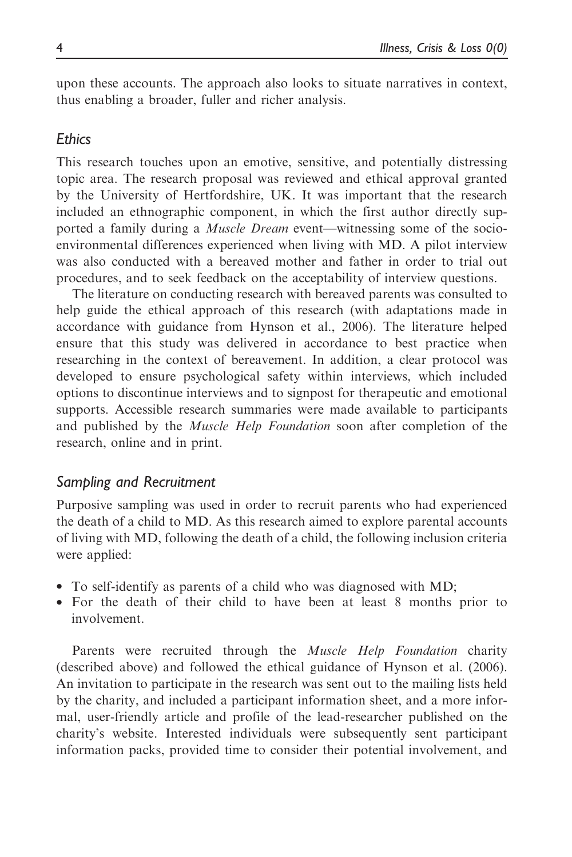upon these accounts. The approach also looks to situate narratives in context, thus enabling a broader, fuller and richer analysis.

## **Ethics**

This research touches upon an emotive, sensitive, and potentially distressing topic area. The research proposal was reviewed and ethical approval granted by the University of Hertfordshire, UK. It was important that the research included an ethnographic component, in which the first author directly supported a family during a *Muscle Dream* event—witnessing some of the socioenvironmental differences experienced when living with MD. A pilot interview was also conducted with a bereaved mother and father in order to trial out procedures, and to seek feedback on the acceptability of interview questions.

The literature on conducting research with bereaved parents was consulted to help guide the ethical approach of this research (with adaptations made in accordance with guidance from Hynson et al., 2006). The literature helped ensure that this study was delivered in accordance to best practice when researching in the context of bereavement. In addition, a clear protocol was developed to ensure psychological safety within interviews, which included options to discontinue interviews and to signpost for therapeutic and emotional supports. Accessible research summaries were made available to participants and published by the Muscle Help Foundation soon after completion of the research, online and in print.

## Sampling and Recruitment

Purposive sampling was used in order to recruit parents who had experienced the death of a child to MD. As this research aimed to explore parental accounts of living with MD, following the death of a child, the following inclusion criteria were applied:

- To self-identify as parents of a child who was diagnosed with MD;
- For the death of their child to have been at least 8 months prior to involvement.

Parents were recruited through the Muscle Help Foundation charity (described above) and followed the ethical guidance of Hynson et al. (2006). An invitation to participate in the research was sent out to the mailing lists held by the charity, and included a participant information sheet, and a more informal, user-friendly article and profile of the lead-researcher published on the charity's website. Interested individuals were subsequently sent participant information packs, provided time to consider their potential involvement, and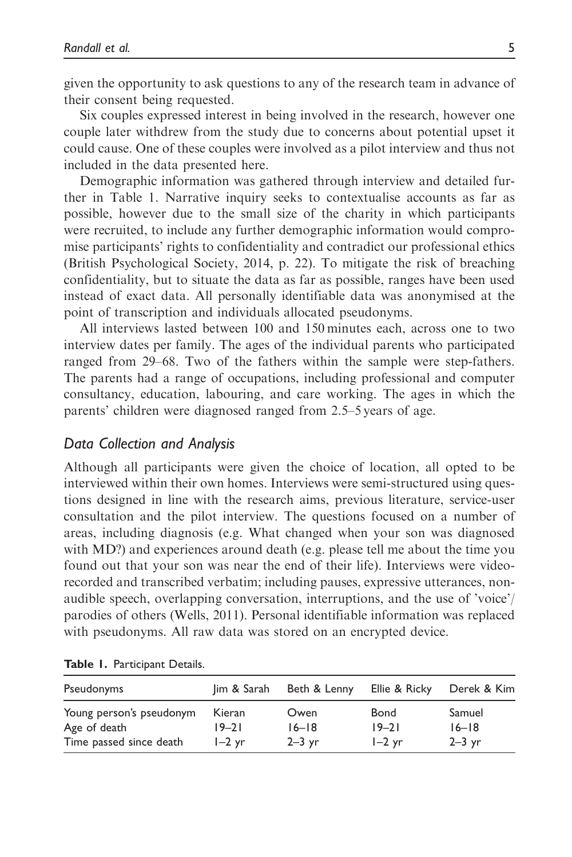given the opportunity to ask questions to any of the research team in advance of their consent being requested.

Six couples expressed interest in being involved in the research, however one couple later withdrew from the study due to concerns about potential upset it could cause. One of these couples were involved as a pilot interview and thus not included in the data presented here.

Demographic information was gathered through interview and detailed further in Table 1. Narrative inquiry seeks to contextualise accounts as far as possible, however due to the small size of the charity in which participants were recruited, to include any further demographic information would compromise participants' rights to confidentiality and contradict our professional ethics (British Psychological Society, 2014, p. 22). To mitigate the risk of breaching confidentiality, but to situate the data as far as possible, ranges have been used instead of exact data. All personally identifiable data was anonymised at the point of transcription and individuals allocated pseudonyms.

All interviews lasted between 100 and 150 minutes each, across one to two interview dates per family. The ages of the individual parents who participated ranged from 29–68. Two of the fathers within the sample were step-fathers. The parents had a range of occupations, including professional and computer consultancy, education, labouring, and care working. The ages in which the parents' children were diagnosed ranged from 2.5–5 years of age.

## Data Collection and Analysis

Although all participants were given the choice of location, all opted to be interviewed within their own homes. Interviews were semi-structured using questions designed in line with the research aims, previous literature, service-user consultation and the pilot interview. The questions focused on a number of areas, including diagnosis (e.g. What changed when your son was diagnosed with MD?) and experiences around death (e.g. please tell me about the time you found out that your son was near the end of their life). Interviews were videorecorded and transcribed verbatim; including pauses, expressive utterances, nonaudible speech, overlapping conversation, interruptions, and the use of 'voice'/ parodies of others (Wells, 2011). Personal identifiable information was replaced with pseudonyms. All raw data was stored on an encrypted device.

| Pseudonyms               | Jim & Sarah | Beth & Lenny | Ellie & Ricky | Derek & Kim |
|--------------------------|-------------|--------------|---------------|-------------|
| Young person's pseudonym | Kieran      | Owen         | <b>Bond</b>   | Samuel      |
| Age of death             | 19–21       | $16 - 18$    | $19 - 21$     | $16 - 18$   |
| Time passed since death  | $I-2$ yr    | $2-3$ yr     | $I-2$ yr      | $2-3$ yr    |

Table 1. Participant Details.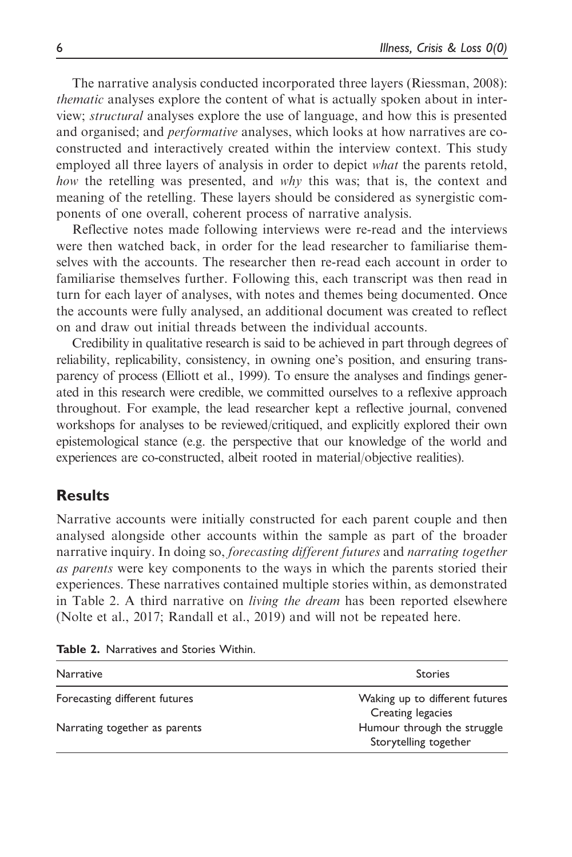The narrative analysis conducted incorporated three layers (Riessman, 2008): thematic analyses explore the content of what is actually spoken about in interview; structural analyses explore the use of language, and how this is presented and organised; and *performative* analyses, which looks at how narratives are coconstructed and interactively created within the interview context. This study employed all three layers of analysis in order to depict *what* the parents retold, how the retelling was presented, and why this was; that is, the context and meaning of the retelling. These layers should be considered as synergistic components of one overall, coherent process of narrative analysis.

Reflective notes made following interviews were re-read and the interviews were then watched back, in order for the lead researcher to familiarise themselves with the accounts. The researcher then re-read each account in order to familiarise themselves further. Following this, each transcript was then read in turn for each layer of analyses, with notes and themes being documented. Once the accounts were fully analysed, an additional document was created to reflect on and draw out initial threads between the individual accounts.

Credibility in qualitative research is said to be achieved in part through degrees of reliability, replicability, consistency, in owning one's position, and ensuring transparency of process (Elliott et al., 1999). To ensure the analyses and findings generated in this research were credible, we committed ourselves to a reflexive approach throughout. For example, the lead researcher kept a reflective journal, convened workshops for analyses to be reviewed/critiqued, and explicitly explored their own epistemological stance (e.g. the perspective that our knowledge of the world and experiences are co-constructed, albeit rooted in material/objective realities).

## **Results**

Narrative accounts were initially constructed for each parent couple and then analysed alongside other accounts within the sample as part of the broader narrative inquiry. In doing so, forecasting different futures and narrating together as parents were key components to the ways in which the parents storied their experiences. These narratives contained multiple stories within, as demonstrated in Table 2. A third narrative on living the dream has been reported elsewhere (Nolte et al., 2017; Randall et al., 2019) and will not be repeated here.

| <b>Narrative</b>              | <b>Stories</b>                                       |  |
|-------------------------------|------------------------------------------------------|--|
| Forecasting different futures | Waking up to different futures<br>Creating legacies  |  |
| Narrating together as parents | Humour through the struggle<br>Storytelling together |  |

Table 2. Narratives and Stories Within.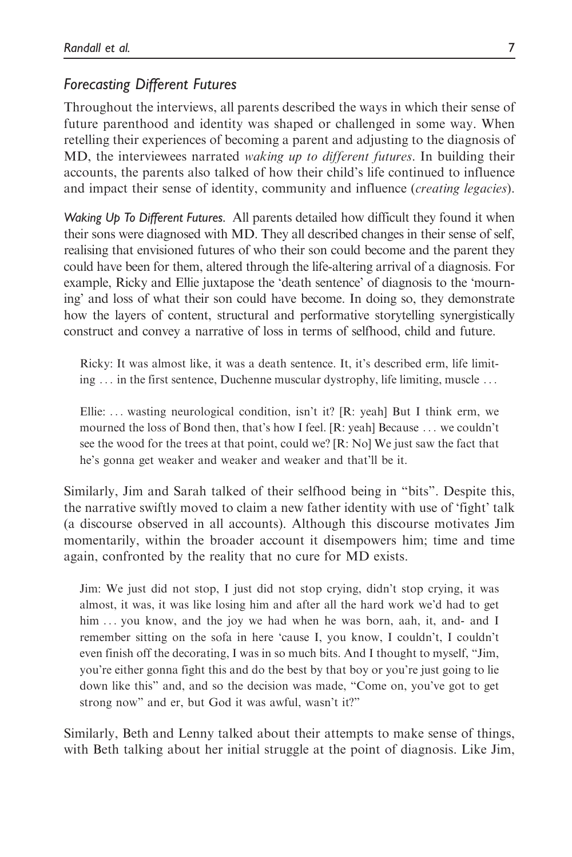## Forecasting Different Futures

Throughout the interviews, all parents described the ways in which their sense of future parenthood and identity was shaped or challenged in some way. When retelling their experiences of becoming a parent and adjusting to the diagnosis of MD, the interviewees narrated waking up to different futures. In building their accounts, the parents also talked of how their child's life continued to influence and impact their sense of identity, community and influence (creating legacies).

Waking Up To Different Futures. All parents detailed how difficult they found it when their sons were diagnosed with MD. They all described changes in their sense of self, realising that envisioned futures of who their son could become and the parent they could have been for them, altered through the life-altering arrival of a diagnosis. For example, Ricky and Ellie juxtapose the 'death sentence' of diagnosis to the 'mourning' and loss of what their son could have become. In doing so, they demonstrate how the layers of content, structural and performative storytelling synergistically construct and convey a narrative of loss in terms of selfhood, child and future.

Ricky: It was almost like, it was a death sentence. It, it's described erm, life limiting ... in the first sentence, Duchenne muscular dystrophy, life limiting, muscle ...

Ellie: ... wasting neurological condition, isn't it? [R: yeah] But I think erm, we mourned the loss of Bond then, that's how I feel. [R: yeah] Because ... we couldn't see the wood for the trees at that point, could we? [R: No] We just saw the fact that he's gonna get weaker and weaker and weaker and that'll be it.

Similarly, Jim and Sarah talked of their selfhood being in "bits". Despite this, the narrative swiftly moved to claim a new father identity with use of 'fight' talk (a discourse observed in all accounts). Although this discourse motivates Jim momentarily, within the broader account it disempowers him; time and time again, confronted by the reality that no cure for MD exists.

Jim: We just did not stop, I just did not stop crying, didn't stop crying, it was almost, it was, it was like losing him and after all the hard work we'd had to get him ... you know, and the joy we had when he was born, aah, it, and- and I remember sitting on the sofa in here 'cause I, you know, I couldn't, I couldn't even finish off the decorating, I was in so much bits. And I thought to myself, "Jim, you're either gonna fight this and do the best by that boy or you're just going to lie down like this" and, and so the decision was made, "Come on, you've got to get strong now" and er, but God it was awful, wasn't it?"

Similarly, Beth and Lenny talked about their attempts to make sense of things, with Beth talking about her initial struggle at the point of diagnosis. Like Jim,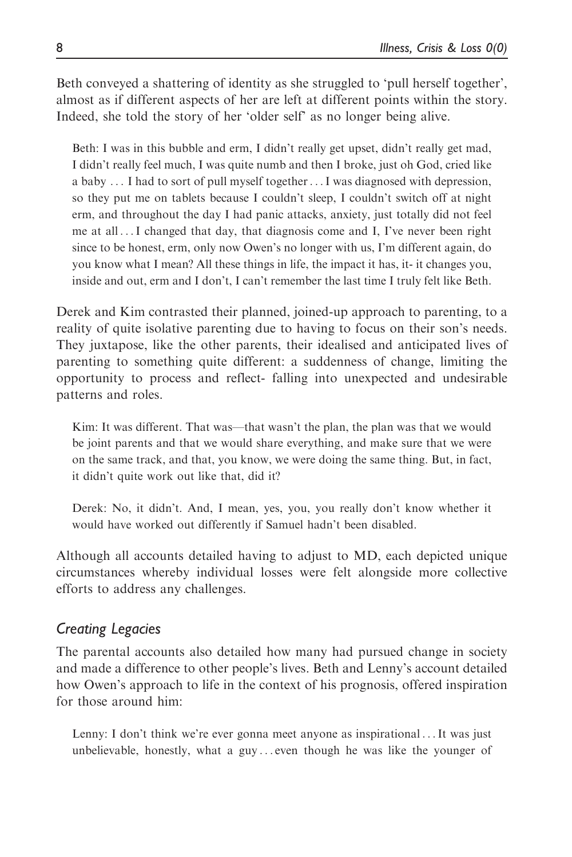Beth conveyed a shattering of identity as she struggled to 'pull herself together', almost as if different aspects of her are left at different points within the story. Indeed, she told the story of her 'older self' as no longer being alive.

Beth: I was in this bubble and erm, I didn't really get upset, didn't really get mad, I didn't really feel much, I was quite numb and then I broke, just oh God, cried like a baby ... I had to sort of pull myself together...I was diagnosed with depression, so they put me on tablets because I couldn't sleep, I couldn't switch off at night erm, and throughout the day I had panic attacks, anxiety, just totally did not feel me at all ...I changed that day, that diagnosis come and I, I've never been right since to be honest, erm, only now Owen's no longer with us, I'm different again, do you know what I mean? All these things in life, the impact it has, it- it changes you, inside and out, erm and I don't, I can't remember the last time I truly felt like Beth.

Derek and Kim contrasted their planned, joined-up approach to parenting, to a reality of quite isolative parenting due to having to focus on their son's needs. They juxtapose, like the other parents, their idealised and anticipated lives of parenting to something quite different: a suddenness of change, limiting the opportunity to process and reflect- falling into unexpected and undesirable patterns and roles.

Kim: It was different. That was—that wasn't the plan, the plan was that we would be joint parents and that we would share everything, and make sure that we were on the same track, and that, you know, we were doing the same thing. But, in fact, it didn't quite work out like that, did it?

Derek: No, it didn't. And, I mean, yes, you, you really don't know whether it would have worked out differently if Samuel hadn't been disabled.

Although all accounts detailed having to adjust to MD, each depicted unique circumstances whereby individual losses were felt alongside more collective efforts to address any challenges.

## Creating Legacies

The parental accounts also detailed how many had pursued change in society and made a difference to other people's lives. Beth and Lenny's account detailed how Owen's approach to life in the context of his prognosis, offered inspiration for those around him:

Lenny: I don't think we're ever gonna meet anyone as inspirational ...It was just unbelievable, honestly, what a guy ... even though he was like the younger of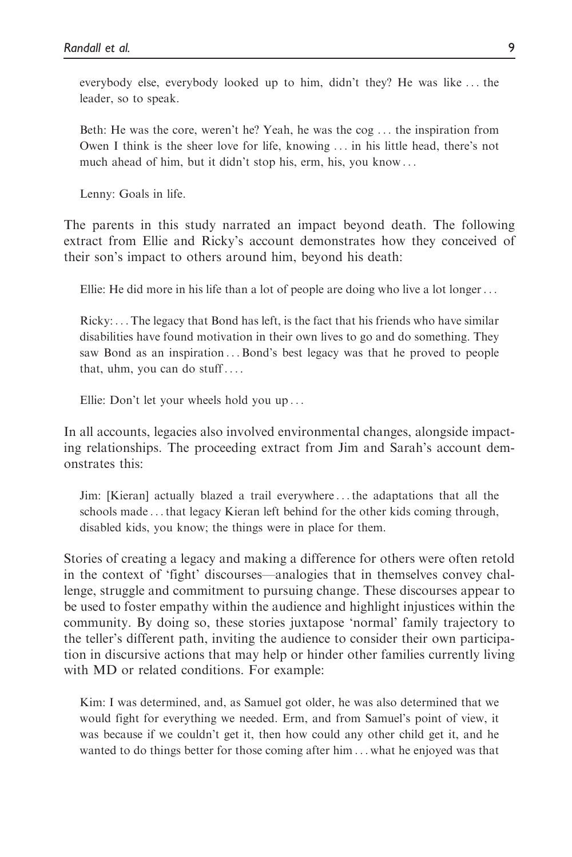everybody else, everybody looked up to him, didn't they? He was like ... the leader, so to speak.

Beth: He was the core, weren't he? Yeah, he was the cog ... the inspiration from Owen I think is the sheer love for life, knowing ... in his little head, there's not much ahead of him, but it didn't stop his, erm, his, you know ...

Lenny: Goals in life.

The parents in this study narrated an impact beyond death. The following extract from Ellie and Ricky's account demonstrates how they conceived of their son's impact to others around him, beyond his death:

Ellie: He did more in his life than a lot of people are doing who live a lot longer...

Ricky: ... The legacy that Bond has left, is the fact that his friends who have similar disabilities have found motivation in their own lives to go and do something. They saw Bond as an inspiration ...Bond's best legacy was that he proved to people that, uhm, you can do stuff ... .

Ellie: Don't let your wheels hold you up ...

In all accounts, legacies also involved environmental changes, alongside impacting relationships. The proceeding extract from Jim and Sarah's account demonstrates this:

Jim: [Kieran] actually blazed a trail everywhere ... the adaptations that all the schools made ... that legacy Kieran left behind for the other kids coming through, disabled kids, you know; the things were in place for them.

Stories of creating a legacy and making a difference for others were often retold in the context of 'fight' discourses—analogies that in themselves convey challenge, struggle and commitment to pursuing change. These discourses appear to be used to foster empathy within the audience and highlight injustices within the community. By doing so, these stories juxtapose 'normal' family trajectory to the teller's different path, inviting the audience to consider their own participation in discursive actions that may help or hinder other families currently living with MD or related conditions. For example:

Kim: I was determined, and, as Samuel got older, he was also determined that we would fight for everything we needed. Erm, and from Samuel's point of view, it was because if we couldn't get it, then how could any other child get it, and he wanted to do things better for those coming after him ... what he enjoyed was that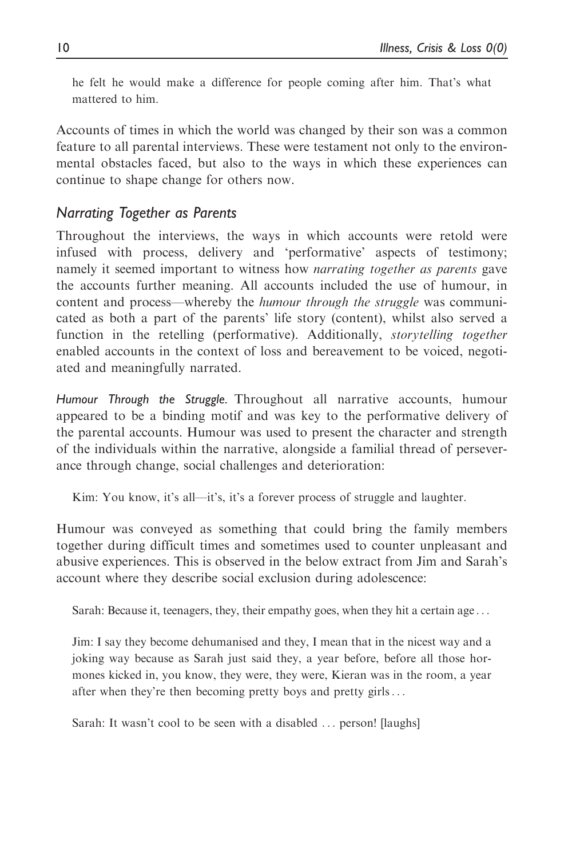he felt he would make a difference for people coming after him. That's what mattered to him.

Accounts of times in which the world was changed by their son was a common feature to all parental interviews. These were testament not only to the environmental obstacles faced, but also to the ways in which these experiences can continue to shape change for others now.

## Narrating Together as Parents

Throughout the interviews, the ways in which accounts were retold were infused with process, delivery and 'performative' aspects of testimony; namely it seemed important to witness how narrating together as parents gave the accounts further meaning. All accounts included the use of humour, in content and process—whereby the humour through the struggle was communicated as both a part of the parents' life story (content), whilst also served a function in the retelling (performative). Additionally, *storytelling together* enabled accounts in the context of loss and bereavement to be voiced, negotiated and meaningfully narrated.

Humour Through the Struggle. Throughout all narrative accounts, humour appeared to be a binding motif and was key to the performative delivery of the parental accounts. Humour was used to present the character and strength of the individuals within the narrative, alongside a familial thread of perseverance through change, social challenges and deterioration:

Kim: You know, it's all—it's, it's a forever process of struggle and laughter.

Humour was conveyed as something that could bring the family members together during difficult times and sometimes used to counter unpleasant and abusive experiences. This is observed in the below extract from Jim and Sarah's account where they describe social exclusion during adolescence:

Sarah: Because it, teenagers, they, their empathy goes, when they hit a certain age ...

Jim: I say they become dehumanised and they, I mean that in the nicest way and a joking way because as Sarah just said they, a year before, before all those hormones kicked in, you know, they were, they were, Kieran was in the room, a year after when they're then becoming pretty boys and pretty girls...

Sarah: It wasn't cool to be seen with a disabled ... person! [laughs]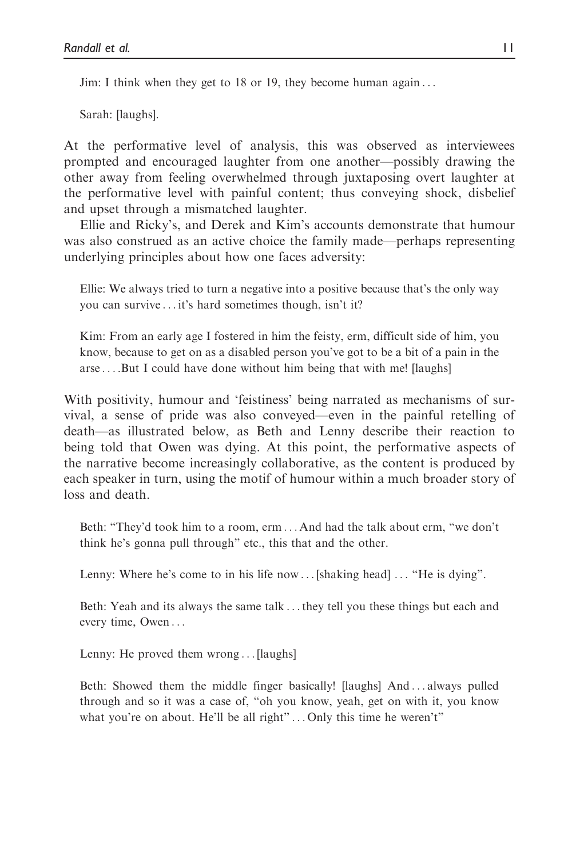Jim: I think when they get to 18 or 19, they become human again ...

Sarah: [laughs].

At the performative level of analysis, this was observed as interviewees prompted and encouraged laughter from one another—possibly drawing the other away from feeling overwhelmed through juxtaposing overt laughter at the performative level with painful content; thus conveying shock, disbelief and upset through a mismatched laughter.

Ellie and Ricky's, and Derek and Kim's accounts demonstrate that humour was also construed as an active choice the family made—perhaps representing underlying principles about how one faces adversity:

Ellie: We always tried to turn a negative into a positive because that's the only way you can survive ... it's hard sometimes though, isn't it?

Kim: From an early age I fostered in him the feisty, erm, difficult side of him, you know, because to get on as a disabled person you've got to be a bit of a pain in the arse ... .But I could have done without him being that with me! [laughs]

With positivity, humour and 'feistiness' being narrated as mechanisms of survival, a sense of pride was also conveyed—even in the painful retelling of death—as illustrated below, as Beth and Lenny describe their reaction to being told that Owen was dying. At this point, the performative aspects of the narrative become increasingly collaborative, as the content is produced by each speaker in turn, using the motif of humour within a much broader story of loss and death.

Beth: "They'd took him to a room, erm ... And had the talk about erm, "we don't think he's gonna pull through" etc., this that and the other.

Lenny: Where he's come to in his life now ... [shaking head] ... "He is dying".

Beth: Yeah and its always the same talk ...they tell you these things but each and every time, Owen ...

Lenny: He proved them wrong ... [laughs]

Beth: Showed them the middle finger basically! [laughs] And ... always pulled through and so it was a case of, "oh you know, yeah, get on with it, you know what you're on about. He'll be all right" ... Only this time he weren't"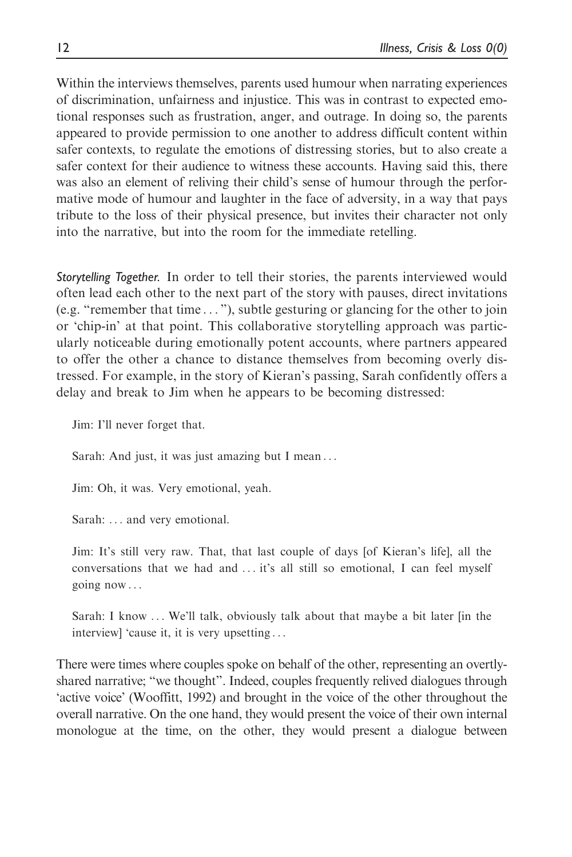Within the interviews themselves, parents used humour when narrating experiences of discrimination, unfairness and injustice. This was in contrast to expected emotional responses such as frustration, anger, and outrage. In doing so, the parents appeared to provide permission to one another to address difficult content within safer contexts, to regulate the emotions of distressing stories, but to also create a safer context for their audience to witness these accounts. Having said this, there was also an element of reliving their child's sense of humour through the performative mode of humour and laughter in the face of adversity, in a way that pays tribute to the loss of their physical presence, but invites their character not only into the narrative, but into the room for the immediate retelling.

Storytelling Together. In order to tell their stories, the parents interviewed would often lead each other to the next part of the story with pauses, direct invitations (e.g. "remember that time ... "), subtle gesturing or glancing for the other to join or 'chip-in' at that point. This collaborative storytelling approach was particularly noticeable during emotionally potent accounts, where partners appeared to offer the other a chance to distance themselves from becoming overly distressed. For example, in the story of Kieran's passing, Sarah confidently offers a delay and break to Jim when he appears to be becoming distressed:

Jim: I'll never forget that.

Sarah: And just, it was just amazing but I mean ...

Jim: Oh, it was. Very emotional, yeah.

Sarah: ... and very emotional.

Jim: It's still very raw. That, that last couple of days [of Kieran's life], all the conversations that we had and ... it's all still so emotional, I can feel myself going now ...

Sarah: I know ... We'll talk, obviously talk about that maybe a bit later [in the interview] 'cause it, it is very upsetting ...

There were times where couples spoke on behalf of the other, representing an overtlyshared narrative; "we thought". Indeed, couples frequently relived dialogues through 'active voice' (Wooffitt, 1992) and brought in the voice of the other throughout the overall narrative. On the one hand, they would present the voice of their own internal monologue at the time, on the other, they would present a dialogue between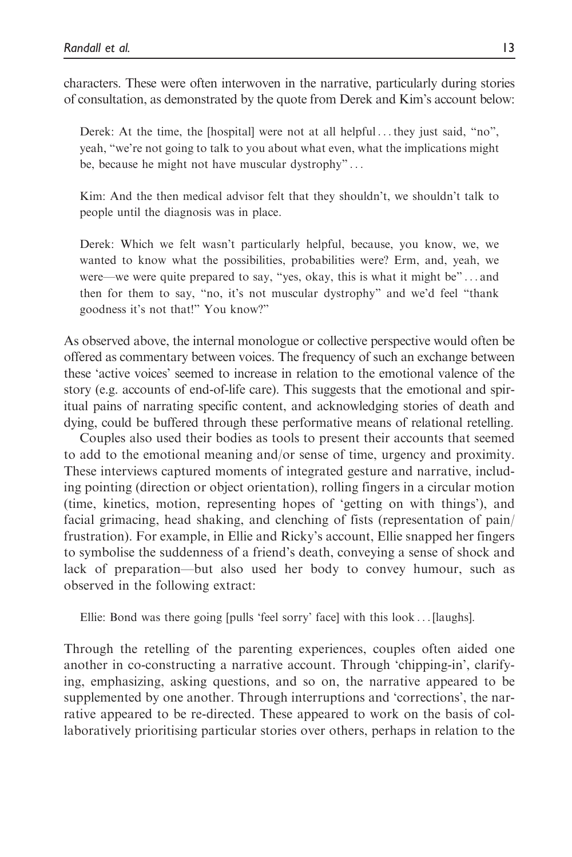characters. These were often interwoven in the narrative, particularly during stories of consultation, as demonstrated by the quote from Derek and Kim's account below:

Derek: At the time, the [hospital] were not at all helpful  $\dots$  they just said, "no", yeah, "we're not going to talk to you about what even, what the implications might be, because he might not have muscular dystrophy" ...

Kim: And the then medical advisor felt that they shouldn't, we shouldn't talk to people until the diagnosis was in place.

Derek: Which we felt wasn't particularly helpful, because, you know, we, we wanted to know what the possibilities, probabilities were? Erm, and, yeah, we were—we were quite prepared to say, "yes, okay, this is what it might be" ... and then for them to say, "no, it's not muscular dystrophy" and we'd feel "thank goodness it's not that!" You know?"

As observed above, the internal monologue or collective perspective would often be offered as commentary between voices. The frequency of such an exchange between these 'active voices' seemed to increase in relation to the emotional valence of the story (e.g. accounts of end-of-life care). This suggests that the emotional and spiritual pains of narrating specific content, and acknowledging stories of death and dying, could be buffered through these performative means of relational retelling.

Couples also used their bodies as tools to present their accounts that seemed to add to the emotional meaning and/or sense of time, urgency and proximity. These interviews captured moments of integrated gesture and narrative, including pointing (direction or object orientation), rolling fingers in a circular motion (time, kinetics, motion, representing hopes of 'getting on with things'), and facial grimacing, head shaking, and clenching of fists (representation of pain/ frustration). For example, in Ellie and Ricky's account, Ellie snapped her fingers to symbolise the suddenness of a friend's death, conveying a sense of shock and lack of preparation—but also used her body to convey humour, such as observed in the following extract:

Ellie: Bond was there going [pulls 'feel sorry' face] with this look ... [laughs].

Through the retelling of the parenting experiences, couples often aided one another in co-constructing a narrative account. Through 'chipping-in', clarifying, emphasizing, asking questions, and so on, the narrative appeared to be supplemented by one another. Through interruptions and 'corrections', the narrative appeared to be re-directed. These appeared to work on the basis of collaboratively prioritising particular stories over others, perhaps in relation to the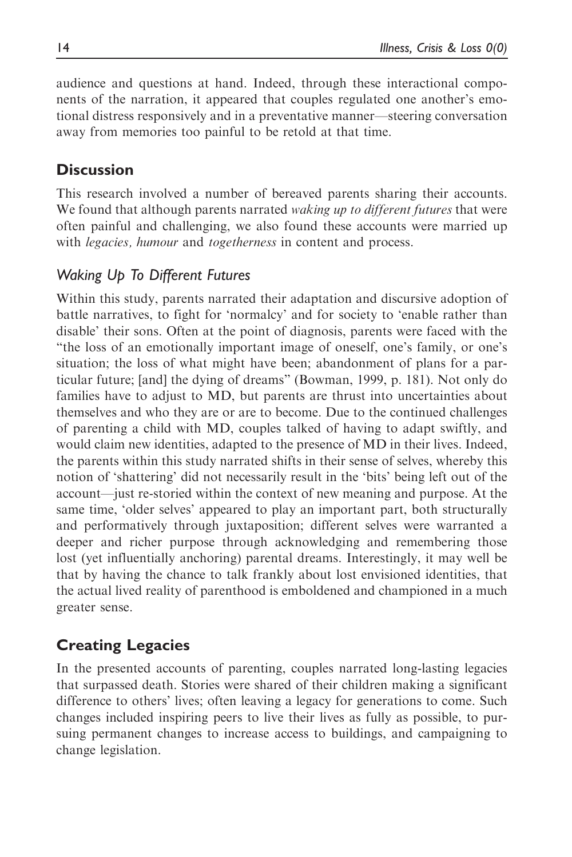audience and questions at hand. Indeed, through these interactional components of the narration, it appeared that couples regulated one another's emotional distress responsively and in a preventative manner—steering conversation away from memories too painful to be retold at that time.

# **Discussion**

This research involved a number of bereaved parents sharing their accounts. We found that although parents narrated *waking up to different futures* that were often painful and challenging, we also found these accounts were married up with *legacies, humour* and *togetherness* in content and process.

## Waking Up To Different Futures

Within this study, parents narrated their adaptation and discursive adoption of battle narratives, to fight for 'normalcy' and for society to 'enable rather than disable' their sons. Often at the point of diagnosis, parents were faced with the "the loss of an emotionally important image of oneself, one's family, or one's situation; the loss of what might have been; abandonment of plans for a particular future; [and] the dying of dreams" (Bowman, 1999, p. 181). Not only do families have to adjust to MD, but parents are thrust into uncertainties about themselves and who they are or are to become. Due to the continued challenges of parenting a child with MD, couples talked of having to adapt swiftly, and would claim new identities, adapted to the presence of MD in their lives. Indeed, the parents within this study narrated shifts in their sense of selves, whereby this notion of 'shattering' did not necessarily result in the 'bits' being left out of the account—just re-storied within the context of new meaning and purpose. At the same time, 'older selves' appeared to play an important part, both structurally and performatively through juxtaposition; different selves were warranted a deeper and richer purpose through acknowledging and remembering those lost (yet influentially anchoring) parental dreams. Interestingly, it may well be that by having the chance to talk frankly about lost envisioned identities, that the actual lived reality of parenthood is emboldened and championed in a much greater sense.

# Creating Legacies

In the presented accounts of parenting, couples narrated long-lasting legacies that surpassed death. Stories were shared of their children making a significant difference to others' lives; often leaving a legacy for generations to come. Such changes included inspiring peers to live their lives as fully as possible, to pursuing permanent changes to increase access to buildings, and campaigning to change legislation.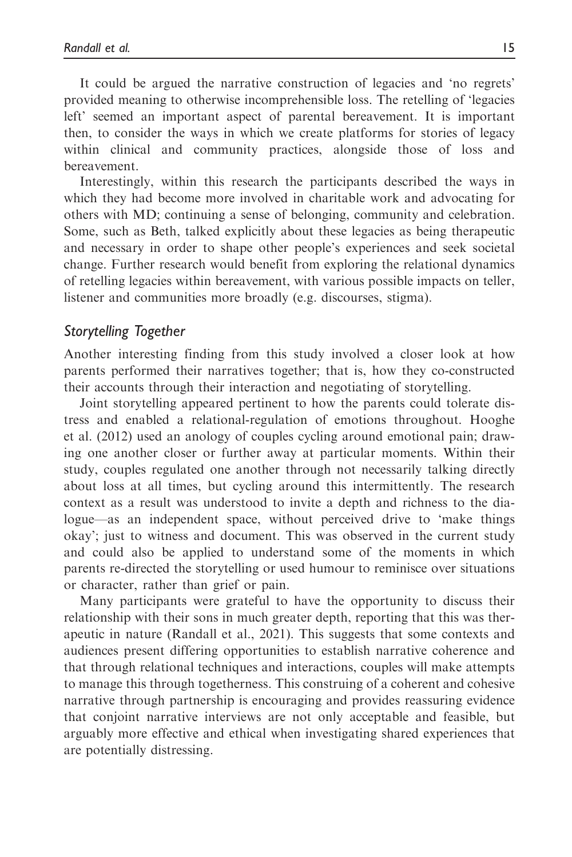It could be argued the narrative construction of legacies and 'no regrets' provided meaning to otherwise incomprehensible loss. The retelling of 'legacies left' seemed an important aspect of parental bereavement. It is important then, to consider the ways in which we create platforms for stories of legacy within clinical and community practices, alongside those of loss and bereavement.

Interestingly, within this research the participants described the ways in which they had become more involved in charitable work and advocating for others with MD; continuing a sense of belonging, community and celebration. Some, such as Beth, talked explicitly about these legacies as being therapeutic and necessary in order to shape other people's experiences and seek societal change. Further research would benefit from exploring the relational dynamics of retelling legacies within bereavement, with various possible impacts on teller, listener and communities more broadly (e.g. discourses, stigma).

### Storytelling Together

Another interesting finding from this study involved a closer look at how parents performed their narratives together; that is, how they co-constructed their accounts through their interaction and negotiating of storytelling.

Joint storytelling appeared pertinent to how the parents could tolerate distress and enabled a relational-regulation of emotions throughout. Hooghe et al. (2012) used an anology of couples cycling around emotional pain; drawing one another closer or further away at particular moments. Within their study, couples regulated one another through not necessarily talking directly about loss at all times, but cycling around this intermittently. The research context as a result was understood to invite a depth and richness to the dialogue—as an independent space, without perceived drive to 'make things okay'; just to witness and document. This was observed in the current study and could also be applied to understand some of the moments in which parents re-directed the storytelling or used humour to reminisce over situations or character, rather than grief or pain.

Many participants were grateful to have the opportunity to discuss their relationship with their sons in much greater depth, reporting that this was therapeutic in nature (Randall et al., 2021). This suggests that some contexts and audiences present differing opportunities to establish narrative coherence and that through relational techniques and interactions, couples will make attempts to manage this through togetherness. This construing of a coherent and cohesive narrative through partnership is encouraging and provides reassuring evidence that conjoint narrative interviews are not only acceptable and feasible, but arguably more effective and ethical when investigating shared experiences that are potentially distressing.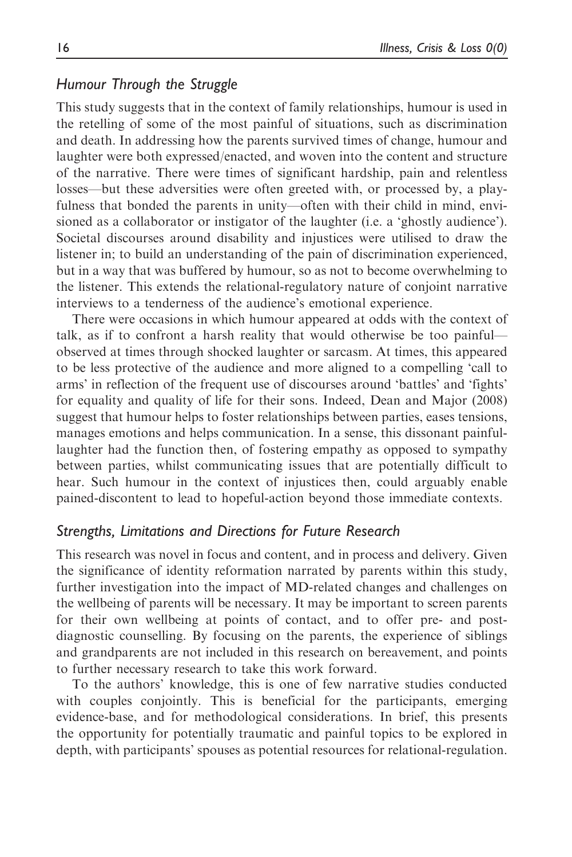## Humour Through the Struggle

This study suggests that in the context of family relationships, humour is used in the retelling of some of the most painful of situations, such as discrimination and death. In addressing how the parents survived times of change, humour and laughter were both expressed/enacted, and woven into the content and structure of the narrative. There were times of significant hardship, pain and relentless losses—but these adversities were often greeted with, or processed by, a playfulness that bonded the parents in unity—often with their child in mind, envisioned as a collaborator or instigator of the laughter (i.e. a 'ghostly audience'). Societal discourses around disability and injustices were utilised to draw the listener in; to build an understanding of the pain of discrimination experienced, but in a way that was buffered by humour, so as not to become overwhelming to the listener. This extends the relational-regulatory nature of conjoint narrative interviews to a tenderness of the audience's emotional experience.

There were occasions in which humour appeared at odds with the context of talk, as if to confront a harsh reality that would otherwise be too painful observed at times through shocked laughter or sarcasm. At times, this appeared to be less protective of the audience and more aligned to a compelling 'call to arms' in reflection of the frequent use of discourses around 'battles' and 'fights' for equality and quality of life for their sons. Indeed, Dean and Major (2008) suggest that humour helps to foster relationships between parties, eases tensions, manages emotions and helps communication. In a sense, this dissonant painfullaughter had the function then, of fostering empathy as opposed to sympathy between parties, whilst communicating issues that are potentially difficult to hear. Such humour in the context of injustices then, could arguably enable pained-discontent to lead to hopeful-action beyond those immediate contexts.

## Strengths, Limitations and Directions for Future Research

This research was novel in focus and content, and in process and delivery. Given the significance of identity reformation narrated by parents within this study, further investigation into the impact of MD-related changes and challenges on the wellbeing of parents will be necessary. It may be important to screen parents for their own wellbeing at points of contact, and to offer pre- and postdiagnostic counselling. By focusing on the parents, the experience of siblings and grandparents are not included in this research on bereavement, and points to further necessary research to take this work forward.

To the authors' knowledge, this is one of few narrative studies conducted with couples conjointly. This is beneficial for the participants, emerging evidence-base, and for methodological considerations. In brief, this presents the opportunity for potentially traumatic and painful topics to be explored in depth, with participants' spouses as potential resources for relational-regulation.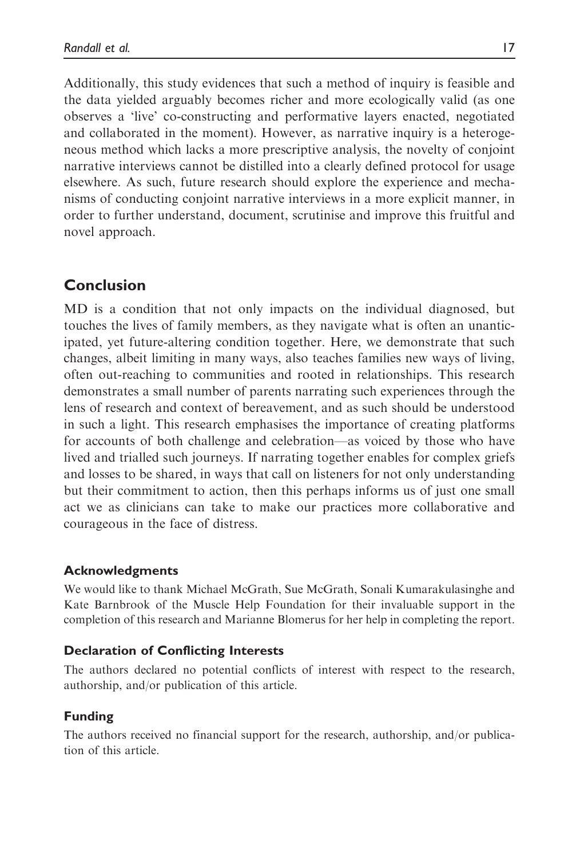Additionally, this study evidences that such a method of inquiry is feasible and the data yielded arguably becomes richer and more ecologically valid (as one observes a 'live' co-constructing and performative layers enacted, negotiated and collaborated in the moment). However, as narrative inquiry is a heterogeneous method which lacks a more prescriptive analysis, the novelty of conjoint narrative interviews cannot be distilled into a clearly defined protocol for usage elsewhere. As such, future research should explore the experience and mechanisms of conducting conjoint narrative interviews in a more explicit manner, in order to further understand, document, scrutinise and improve this fruitful and novel approach.

# Conclusion

MD is a condition that not only impacts on the individual diagnosed, but touches the lives of family members, as they navigate what is often an unanticipated, yet future-altering condition together. Here, we demonstrate that such changes, albeit limiting in many ways, also teaches families new ways of living, often out-reaching to communities and rooted in relationships. This research demonstrates a small number of parents narrating such experiences through the lens of research and context of bereavement, and as such should be understood in such a light. This research emphasises the importance of creating platforms for accounts of both challenge and celebration—as voiced by those who have lived and trialled such journeys. If narrating together enables for complex griefs and losses to be shared, in ways that call on listeners for not only understanding but their commitment to action, then this perhaps informs us of just one small act we as clinicians can take to make our practices more collaborative and courageous in the face of distress.

## Acknowledgments

We would like to thank Michael McGrath, Sue McGrath, Sonali Kumarakulasinghe and Kate Barnbrook of the Muscle Help Foundation for their invaluable support in the completion of this research and Marianne Blomerus for her help in completing the report.

### Declaration of Conflicting Interests

The authors declared no potential conflicts of interest with respect to the research, authorship, and/or publication of this article.

## Funding

The authors received no financial support for the research, authorship, and/or publication of this article.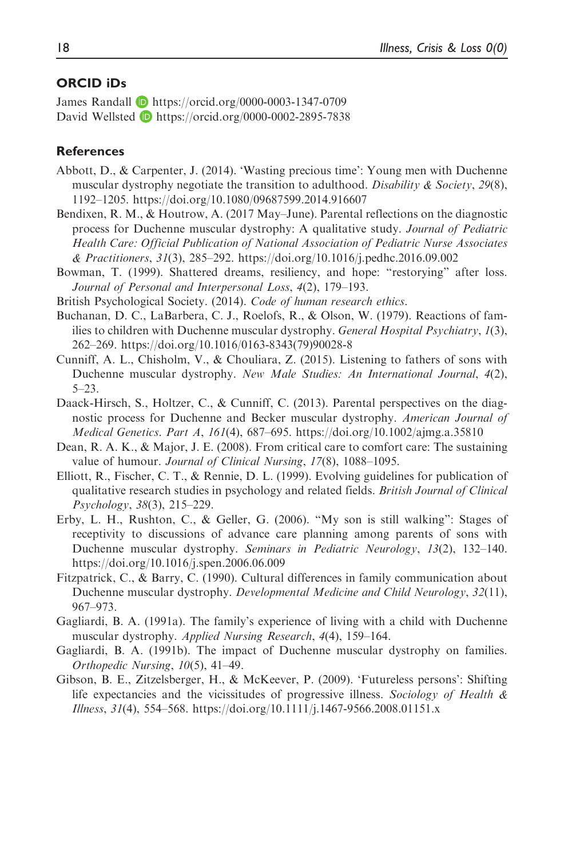### ORCID iDs

James Randall **D** <https://orcid.org/0000-0003-1347-0709> David Wellsted **D** <https://orcid.org/0000-0002-2895-7838>

### References

- Abbott, D., & Carpenter, J. (2014). 'Wasting precious time': Young men with Duchenne muscular dystrophy negotiate the transition to adulthood. Disability  $\&$  Society, 29(8), 1192–1205.<https://doi.org/10.1080/09687599.2014.916607>
- Bendixen, R. M., & Houtrow, A. (2017 May–June). Parental reflections on the diagnostic process for Duchenne muscular dystrophy: A qualitative study. Journal of Pediatric Health Care: Official Publication of National Association of Pediatric Nurse Associates & Practitioners, 31(3), 285–292.<https://doi.org/10.1016/j.pedhc.2016.09.002>
- Bowman, T. (1999). Shattered dreams, resiliency, and hope: "restorying" after loss. Journal of Personal and Interpersonal Loss, 4(2), 179–193.
- British Psychological Society. (2014). Code of human research ethics.
- Buchanan, D. C., LaBarbera, C. J., Roelofs, R., & Olson, W. (1979). Reactions of families to children with Duchenne muscular dystrophy. *General Hospital Psychiatry*, 1(3), 262–269. [https://doi.org/10.1016/0163-8343\(79\)90028-8](https://doi.org/10.1016/0163-8343(79)90028-8)
- Cunniff, A. L., Chisholm, V., & Chouliara, Z. (2015). Listening to fathers of sons with Duchenne muscular dystrophy. New Male Studies: An International Journal, 4(2), 5–23.
- Daack-Hirsch, S., Holtzer, C., & Cunniff, C. (2013). Parental perspectives on the diagnostic process for Duchenne and Becker muscular dystrophy. American Journal of Medical Genetics. Part A, 161(4), 687–695.<https://doi.org/10.1002/ajmg.a.35810>
- Dean, R. A. K., & Major, J. E. (2008). From critical care to comfort care: The sustaining value of humour. Journal of Clinical Nursing, 17(8), 1088–1095.
- Elliott, R., Fischer, C. T., & Rennie, D. L. (1999). Evolving guidelines for publication of qualitative research studies in psychology and related fields. British Journal of Clinical Psychology, 38(3), 215–229.
- Erby, L. H., Rushton, C., & Geller, G. (2006). "My son is still walking": Stages of receptivity to discussions of advance care planning among parents of sons with Duchenne muscular dystrophy. Seminars in Pediatric Neurology, 13(2), 132–140. <https://doi.org/10.1016/j.spen.2006.06.009>
- Fitzpatrick, C., & Barry, C. (1990). Cultural differences in family communication about Duchenne muscular dystrophy. Developmental Medicine and Child Neurology, 32(11), 967–973.
- Gagliardi, B. A. (1991a). The family's experience of living with a child with Duchenne muscular dystrophy. Applied Nursing Research, 4(4), 159–164.
- Gagliardi, B. A. (1991b). The impact of Duchenne muscular dystrophy on families. Orthopedic Nursing, 10(5), 41–49.
- Gibson, B. E., Zitzelsberger, H., & McKeever, P. (2009). 'Futureless persons': Shifting life expectancies and the vicissitudes of progressive illness. Sociology of Health  $\&$ Illness, 31(4), 554–568.<https://doi.org/10.1111/j.1467-9566.2008.01151.x>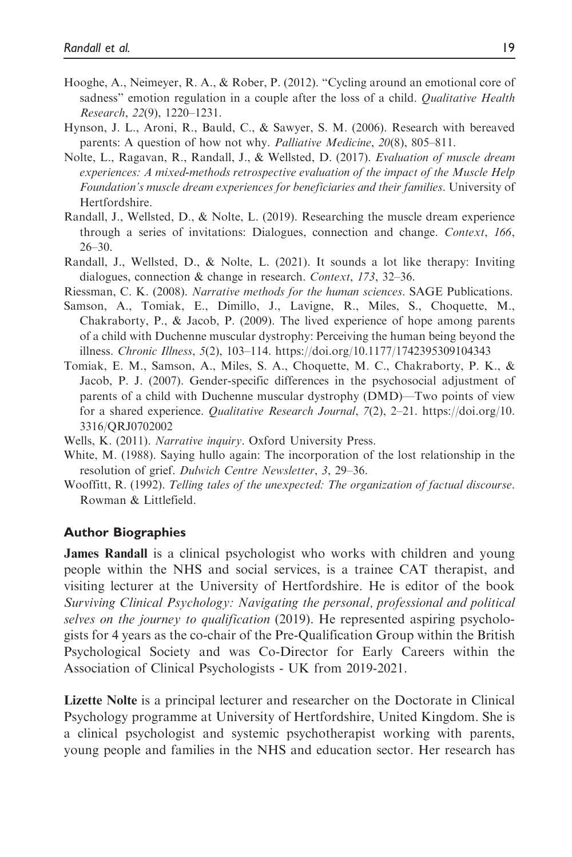- Hooghe, A., Neimeyer, R. A., & Rober, P. (2012). "Cycling around an emotional core of sadness" emotion regulation in a couple after the loss of a child. Qualitative Health Research, 22(9), 1220–1231.
- Hynson, J. L., Aroni, R., Bauld, C., & Sawyer, S. M. (2006). Research with bereaved parents: A question of how not why. Palliative Medicine, 20(8), 805–811.
- Nolte, L., Ragavan, R., Randall, J., & Wellsted, D. (2017). *Evaluation of muscle dream* experiences: A mixed-methods retrospective evaluation of the impact of the Muscle Help Foundation's muscle dream experiences for beneficiaries and their families. University of Hertfordshire.
- Randall, J., Wellsted, D., & Nolte, L. (2019). Researching the muscle dream experience through a series of invitations: Dialogues, connection and change. Context, 166, 26–30.
- Randall, J., Wellsted, D., & Nolte, L. (2021). It sounds a lot like therapy: Inviting dialogues, connection & change in research. Context, 173, 32–36.
- Riessman, C. K. (2008). Narrative methods for the human sciences. SAGE Publications.
- Samson, A., Tomiak, E., Dimillo, J., Lavigne, R., Miles, S., Choquette, M., Chakraborty, P., & Jacob, P. (2009). The lived experience of hope among parents of a child with Duchenne muscular dystrophy: Perceiving the human being beyond the illness. Chronic Illness, 5(2), 103–114.<https://doi.org/10.1177/1742395309104343>
- Tomiak, E. M., Samson, A., Miles, S. A., Choquette, M. C., Chakraborty, P. K., & Jacob, P. J. (2007). Gender-specific differences in the psychosocial adjustment of parents of a child with Duchenne muscular dystrophy (DMD)—Two points of view for a shared experience. Qualitative Research Journal, 7(2), 2–21. [https://doi.org/10.](https://doi.org/10.3316/QRJ0702002) [3316/QRJ0702002](https://doi.org/10.3316/QRJ0702002)
- Wells, K. (2011). Narrative inquiry. Oxford University Press.
- White, M. (1988). Saying hullo again: The incorporation of the lost relationship in the resolution of grief. Dulwich Centre Newsletter, 3, 29-36.
- Wooffitt, R. (1992). Telling tales of the unexpected: The organization of factual discourse. Rowman & Littlefield.

### Author Biographies

James Randall is a clinical psychologist who works with children and young people within the NHS and social services, is a trainee CAT therapist, and visiting lecturer at the University of Hertfordshire. He is editor of the book Surviving Clinical Psychology: Navigating the personal, professional and political selves on the journey to qualification (2019). He represented aspiring psychologists for 4 years as the co-chair of the Pre-Qualification Group within the British Psychological Society and was Co-Director for Early Careers within the Association of Clinical Psychologists - UK from 2019-2021.

Lizette Nolte is a principal lecturer and researcher on the Doctorate in Clinical Psychology programme at University of Hertfordshire, United Kingdom. She is a clinical psychologist and systemic psychotherapist working with parents, young people and families in the NHS and education sector. Her research has